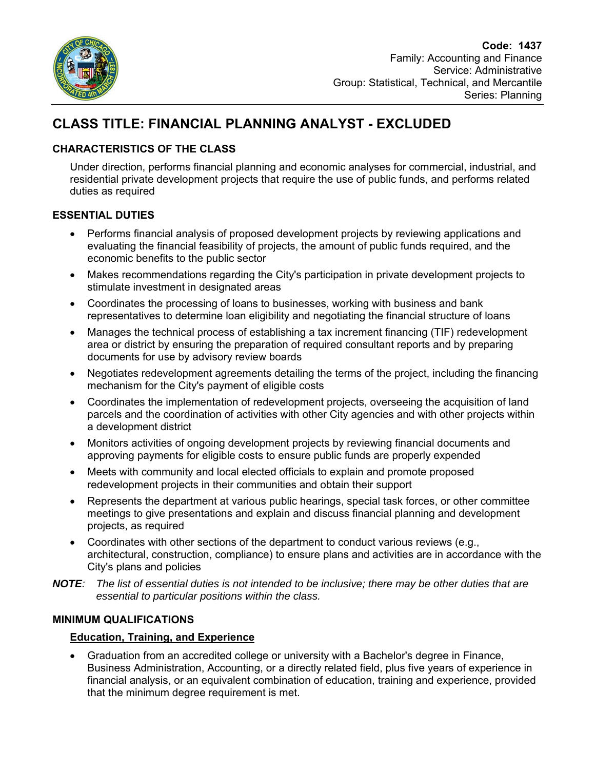

# **CLASS TITLE: FINANCIAL PLANNING ANALYST - EXCLUDED**

## **CHARACTERISTICS OF THE CLASS**

Under direction, performs financial planning and economic analyses for commercial, industrial, and residential private development projects that require the use of public funds, and performs related duties as required

## **ESSENTIAL DUTIES**

- Performs financial analysis of proposed development projects by reviewing applications and evaluating the financial feasibility of projects, the amount of public funds required, and the economic benefits to the public sector
- Makes recommendations regarding the City's participation in private development projects to stimulate investment in designated areas
- Coordinates the processing of loans to businesses, working with business and bank representatives to determine loan eligibility and negotiating the financial structure of loans
- Manages the technical process of establishing a tax increment financing (TIF) redevelopment area or district by ensuring the preparation of required consultant reports and by preparing documents for use by advisory review boards
- Negotiates redevelopment agreements detailing the terms of the project, including the financing mechanism for the City's payment of eligible costs
- Coordinates the implementation of redevelopment projects, overseeing the acquisition of land parcels and the coordination of activities with other City agencies and with other projects within a development district
- Monitors activities of ongoing development projects by reviewing financial documents and approving payments for eligible costs to ensure public funds are properly expended
- Meets with community and local elected officials to explain and promote proposed redevelopment projects in their communities and obtain their support
- Represents the department at various public hearings, special task forces, or other committee meetings to give presentations and explain and discuss financial planning and development projects, as required
- Coordinates with other sections of the department to conduct various reviews (e.g., architectural, construction, compliance) to ensure plans and activities are in accordance with the City's plans and policies
- *NOTE: The list of essential duties is not intended to be inclusive; there may be other duties that are essential to particular positions within the class.*

## **MINIMUM QUALIFICATIONS**

## **Education, Training, and Experience**

 Graduation from an accredited college or university with a Bachelor's degree in Finance, Business Administration, Accounting, or a directly related field, plus five years of experience in financial analysis, or an equivalent combination of education, training and experience, provided that the minimum degree requirement is met.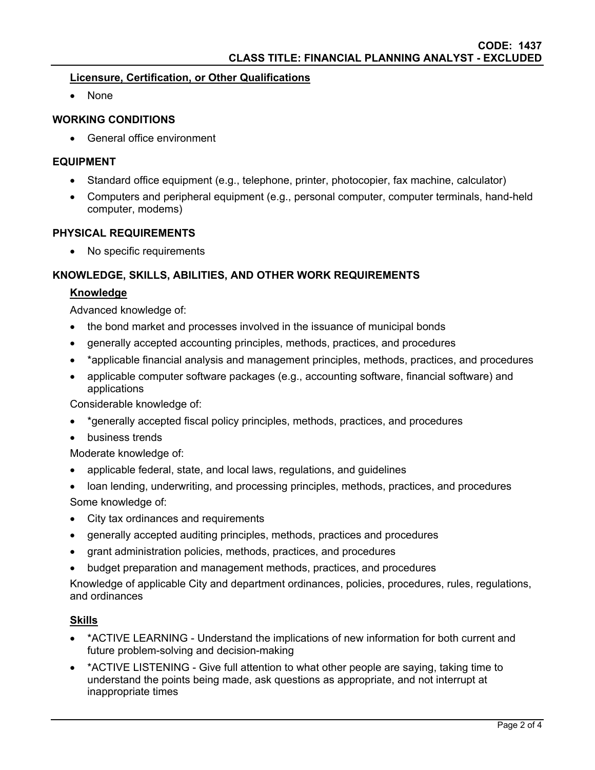### **Licensure, Certification, or Other Qualifications**

None

### **WORKING CONDITIONS**

General office environment

#### **EQUIPMENT**

- Standard office equipment (e.g., telephone, printer, photocopier, fax machine, calculator)
- Computers and peripheral equipment (e.g., personal computer, computer terminals, hand-held computer, modems)

#### **PHYSICAL REQUIREMENTS**

No specific requirements

#### **KNOWLEDGE, SKILLS, ABILITIES, AND OTHER WORK REQUIREMENTS**

#### **Knowledge**

Advanced knowledge of:

- the bond market and processes involved in the issuance of municipal bonds
- generally accepted accounting principles, methods, practices, and procedures
- \*applicable financial analysis and management principles, methods, practices, and procedures
- applicable computer software packages (e.g., accounting software, financial software) and applications

Considerable knowledge of:

- \*generally accepted fiscal policy principles, methods, practices, and procedures
- business trends

Moderate knowledge of:

- applicable federal, state, and local laws, regulations, and guidelines
- loan lending, underwriting, and processing principles, methods, practices, and procedures Some knowledge of:
- City tax ordinances and requirements
- generally accepted auditing principles, methods, practices and procedures
- grant administration policies, methods, practices, and procedures
- budget preparation and management methods, practices, and procedures

Knowledge of applicable City and department ordinances, policies, procedures, rules, regulations, and ordinances

#### **Skills**

- \*ACTIVE LEARNING Understand the implications of new information for both current and future problem-solving and decision-making
- \* ACTIVE LISTENING Give full attention to what other people are saying, taking time to understand the points being made, ask questions as appropriate, and not interrupt at inappropriate times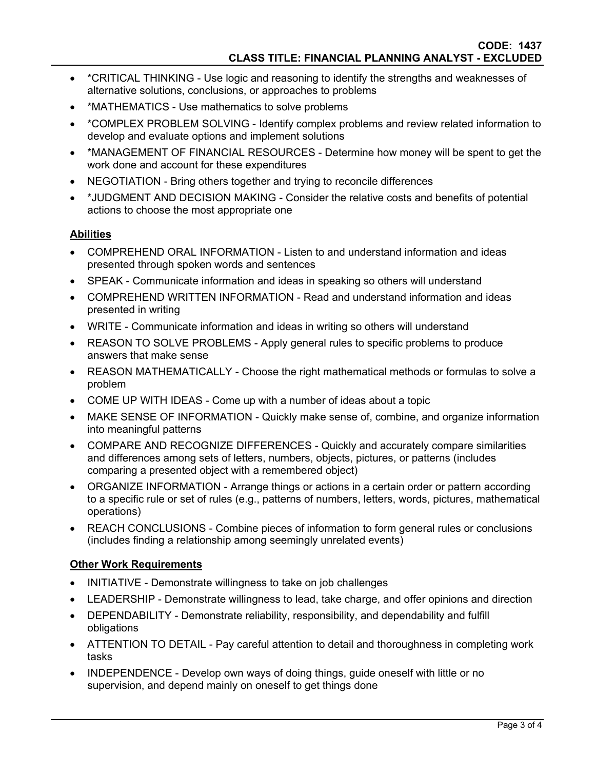- \*CRITICAL THINKING Use logic and reasoning to identify the strengths and weaknesses of alternative solutions, conclusions, or approaches to problems
- \*MATHEMATICS Use mathematics to solve problems
- \*COMPLEX PROBLEM SOLVING Identify complex problems and review related information to develop and evaluate options and implement solutions
- \*MANAGEMENT OF FINANCIAL RESOURCES Determine how money will be spent to get the work done and account for these expenditures
- NEGOTIATION Bring others together and trying to reconcile differences
- \*JUDGMENT AND DECISION MAKING Consider the relative costs and benefits of potential actions to choose the most appropriate one

#### **Abilities**

- COMPREHEND ORAL INFORMATION Listen to and understand information and ideas presented through spoken words and sentences
- SPEAK Communicate information and ideas in speaking so others will understand
- COMPREHEND WRITTEN INFORMATION Read and understand information and ideas presented in writing
- WRITE Communicate information and ideas in writing so others will understand
- REASON TO SOLVE PROBLEMS Apply general rules to specific problems to produce answers that make sense
- REASON MATHEMATICALLY Choose the right mathematical methods or formulas to solve a problem
- COME UP WITH IDEAS Come up with a number of ideas about a topic
- MAKE SENSE OF INFORMATION Quickly make sense of, combine, and organize information into meaningful patterns
- COMPARE AND RECOGNIZE DIFFERENCES Quickly and accurately compare similarities and differences among sets of letters, numbers, objects, pictures, or patterns (includes comparing a presented object with a remembered object)
- ORGANIZE INFORMATION Arrange things or actions in a certain order or pattern according to a specific rule or set of rules (e.g., patterns of numbers, letters, words, pictures, mathematical operations)
- REACH CONCLUSIONS Combine pieces of information to form general rules or conclusions (includes finding a relationship among seemingly unrelated events)

## **Other Work Requirements**

- INITIATIVE Demonstrate willingness to take on job challenges
- LEADERSHIP Demonstrate willingness to lead, take charge, and offer opinions and direction
- DEPENDABILITY Demonstrate reliability, responsibility, and dependability and fulfill obligations
- ATTENTION TO DETAIL Pay careful attention to detail and thoroughness in completing work tasks
- INDEPENDENCE Develop own ways of doing things, quide oneself with little or no supervision, and depend mainly on oneself to get things done